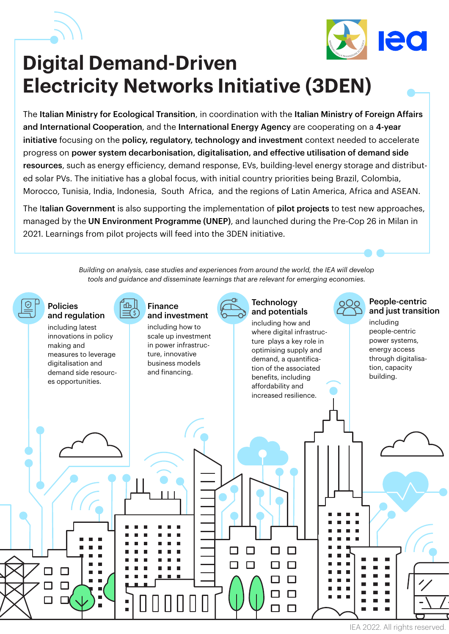



## **Digital Demand-Driven Electricity Networks Initiative (3DEN)**

The Italian Ministry for Ecological Transition, in coordination with the Italian Ministry of Foreign Affairs and International Cooperation, and the International Energy Agency are cooperating on a 4-year initiative focusing on the policy, regulatory, technology and investment context needed to accelerate progress on power system decarbonisation, digitalisation, and effective utilisation of demand side resources, such as energy efficiency, demand response, EVs, building-level energy storage and distributed solar PVs. The initiative has a global focus, with initial country priorities being Brazil, Colombia, Morocco, Tunisia, India, Indonesia, South Africa, and the regions of Latin America, Africa and ASEAN.

The Italian Government is also supporting the implementation of pilot projects to test new approaches, managed by the UN Environment Programme (UNEP), and launched during the Pre-Cop 26 in Milan in 2021. Learnings from pilot projects will feed into the 3DEN initiative.

> *Building on analysis, case studies and experiences from around the world, the IEA will develop tools and guidance and disseminate learnings that are relevant for emerging economies.*